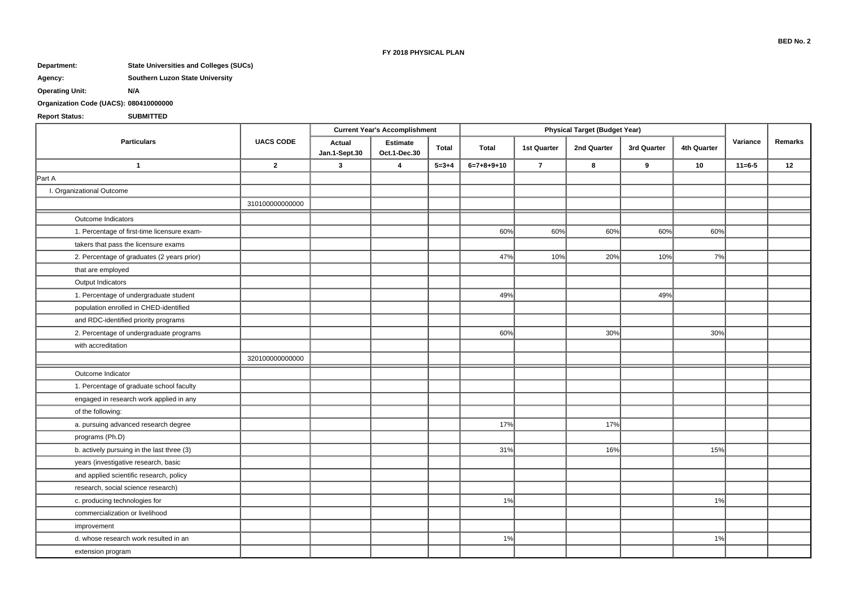#### **FY 2018 PHYSICAL PLAN**

# **Department: State Universities and Colleges (SUCs)**

## **Agency: Southern Luzon State University**

**Operating Unit: N/A**

## **Organization Code (UACS): 080410000000**

## **Report Status: SUBMITTED**

| <b>Particulars</b>                          | <b>UACS CODE</b> | <b>Current Year's Accomplishment</b> |                                 |              | <b>Physical Target (Budget Year)</b> |                    |             |             |             |              |         |
|---------------------------------------------|------------------|--------------------------------------|---------------------------------|--------------|--------------------------------------|--------------------|-------------|-------------|-------------|--------------|---------|
|                                             |                  | Actual<br>Jan.1-Sept.30              | <b>Estimate</b><br>Oct.1-Dec.30 | <b>Total</b> | <b>Total</b>                         | <b>1st Quarter</b> | 2nd Quarter | 3rd Quarter | 4th Quarter | Variance     | Remarks |
| $\overline{1}$                              | $\overline{2}$   | $\mathbf{3}$                         | $\overline{4}$                  | $5 = 3 + 4$  | $6=7+8+9+10$                         | $\overline{7}$     | 8           | 9           | 10          | $11 = 6 - 5$ | 12      |
| Part A                                      |                  |                                      |                                 |              |                                      |                    |             |             |             |              |         |
| I. Organizational Outcome                   |                  |                                      |                                 |              |                                      |                    |             |             |             |              |         |
|                                             | 310100000000000  |                                      |                                 |              |                                      |                    |             |             |             |              |         |
| Outcome Indicators                          |                  |                                      |                                 |              |                                      |                    |             |             |             |              |         |
| 1. Percentage of first-time licensure exam- |                  |                                      |                                 |              | 60%                                  | 60%                | 60%         | 60%         | 60%         |              |         |
| takers that pass the licensure exams        |                  |                                      |                                 |              |                                      |                    |             |             |             |              |         |
| 2. Percentage of graduates (2 years prior)  |                  |                                      |                                 |              | 47%                                  | 10%                | 20%         | 10%         | 7%          |              |         |
| that are employed                           |                  |                                      |                                 |              |                                      |                    |             |             |             |              |         |
| Output Indicators                           |                  |                                      |                                 |              |                                      |                    |             |             |             |              |         |
| 1. Percentage of undergraduate student      |                  |                                      |                                 |              | 49%                                  |                    |             | 49%         |             |              |         |
| population enrolled in CHED-identified      |                  |                                      |                                 |              |                                      |                    |             |             |             |              |         |
| and RDC-identified priority programs        |                  |                                      |                                 |              |                                      |                    |             |             |             |              |         |
| 2. Percentage of undergraduate programs     |                  |                                      |                                 |              | 60%                                  |                    | 30%         |             | 30%         |              |         |
| with accreditation                          |                  |                                      |                                 |              |                                      |                    |             |             |             |              |         |
|                                             | 320100000000000  |                                      |                                 |              |                                      |                    |             |             |             |              |         |
| Outcome Indicator                           |                  |                                      |                                 |              |                                      |                    |             |             |             |              |         |
| 1. Percentage of graduate school faculty    |                  |                                      |                                 |              |                                      |                    |             |             |             |              |         |
| engaged in research work applied in any     |                  |                                      |                                 |              |                                      |                    |             |             |             |              |         |
| of the following:                           |                  |                                      |                                 |              |                                      |                    |             |             |             |              |         |
| a. pursuing advanced research degree        |                  |                                      |                                 |              | 17%                                  |                    | 17%         |             |             |              |         |
| programs (Ph.D)                             |                  |                                      |                                 |              |                                      |                    |             |             |             |              |         |
| b. actively pursuing in the last three (3)  |                  |                                      |                                 |              | 31%                                  |                    | 16%         |             | 15%         |              |         |
| years (investigative research, basic        |                  |                                      |                                 |              |                                      |                    |             |             |             |              |         |
| and applied scientific research, policy     |                  |                                      |                                 |              |                                      |                    |             |             |             |              |         |
| research, social science research)          |                  |                                      |                                 |              |                                      |                    |             |             |             |              |         |
| c. producing technologies for               |                  |                                      |                                 |              | 1%                                   |                    |             |             | 1%          |              |         |
| commercialization or livelihood             |                  |                                      |                                 |              |                                      |                    |             |             |             |              |         |
| improvement                                 |                  |                                      |                                 |              |                                      |                    |             |             |             |              |         |
| d. whose research work resulted in an       |                  |                                      |                                 |              | 1%                                   |                    |             |             | 1%          |              |         |
| extension program                           |                  |                                      |                                 |              |                                      |                    |             |             |             |              |         |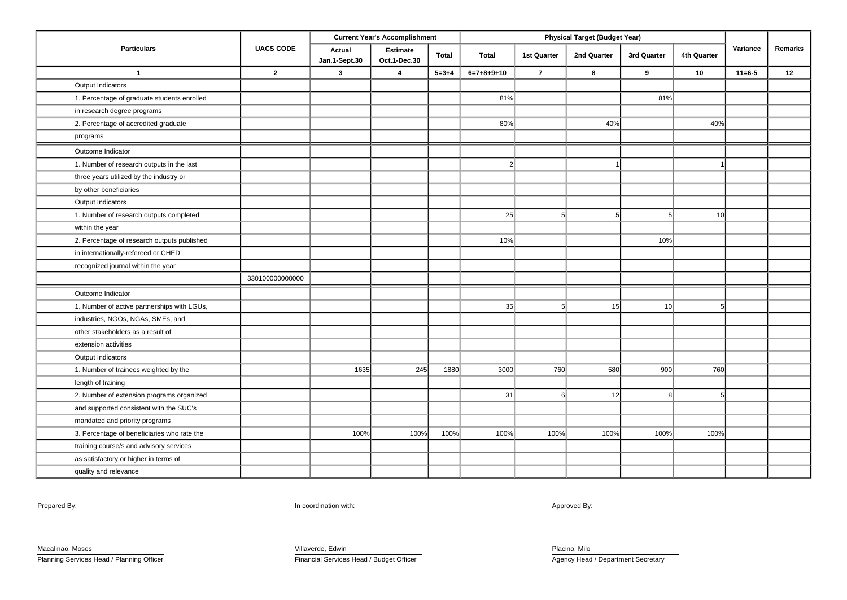| <b>Particulars</b>                          | <b>UACS CODE</b> | <b>Current Year's Accomplishment</b> |                                 |              | <b>Physical Target (Budget Year)</b> |                    |             |             |             |              |         |
|---------------------------------------------|------------------|--------------------------------------|---------------------------------|--------------|--------------------------------------|--------------------|-------------|-------------|-------------|--------------|---------|
|                                             |                  | Actual<br>Jan.1-Sept.30              | <b>Estimate</b><br>Oct.1-Dec.30 | <b>Total</b> | <b>Total</b>                         | <b>1st Quarter</b> | 2nd Quarter | 3rd Quarter | 4th Quarter | Variance     | Remarks |
| $\overline{1}$                              | $\mathbf{2}$     | 3                                    | $\overline{4}$                  | $5 = 3 + 4$  | $6=7+8+9+10$                         | $\overline{7}$     | 8           | 9           | 10          | $11 = 6 - 5$ | 12      |
| Output Indicators                           |                  |                                      |                                 |              |                                      |                    |             |             |             |              |         |
| 1. Percentage of graduate students enrolled |                  |                                      |                                 |              | 81%                                  |                    |             | 81%         |             |              |         |
| in research degree programs                 |                  |                                      |                                 |              |                                      |                    |             |             |             |              |         |
| 2. Percentage of accredited graduate        |                  |                                      |                                 |              | 80%<br>40%                           |                    |             | 40%         |             |              |         |
| programs                                    |                  |                                      |                                 |              |                                      |                    |             |             |             |              |         |
| Outcome Indicator                           |                  |                                      |                                 |              |                                      |                    |             |             |             |              |         |
| 1. Number of research outputs in the last   |                  |                                      |                                 |              |                                      |                    |             |             |             |              |         |
| three years utilized by the industry or     |                  |                                      |                                 |              |                                      |                    |             |             |             |              |         |
| by other beneficiaries                      |                  |                                      |                                 |              |                                      |                    |             |             |             |              |         |
| Output Indicators                           |                  |                                      |                                 |              |                                      |                    |             |             |             |              |         |
| 1. Number of research outputs completed     |                  |                                      |                                 |              | 25                                   |                    |             |             | 10          |              |         |
| within the year                             |                  |                                      |                                 |              |                                      |                    |             |             |             |              |         |
| 2. Percentage of research outputs published |                  |                                      |                                 |              | 10%                                  |                    |             | 10%         |             |              |         |
| in internationally-refereed or CHED         |                  |                                      |                                 |              |                                      |                    |             |             |             |              |         |
| recognized journal within the year          |                  |                                      |                                 |              |                                      |                    |             |             |             |              |         |
|                                             | 330100000000000  |                                      |                                 |              |                                      |                    |             |             |             |              |         |
| Outcome Indicator                           |                  |                                      |                                 |              |                                      |                    |             |             |             |              |         |
| 1. Number of active partnerships with LGUs, |                  |                                      |                                 |              | 35                                   |                    | 15          | 10          |             |              |         |
| industries, NGOs, NGAs, SMEs, and           |                  |                                      |                                 |              |                                      |                    |             |             |             |              |         |
| other stakeholders as a result of           |                  |                                      |                                 |              |                                      |                    |             |             |             |              |         |
| extension activities                        |                  |                                      |                                 |              |                                      |                    |             |             |             |              |         |
| Output Indicators                           |                  |                                      |                                 |              |                                      |                    |             |             |             |              |         |
| 1. Number of trainees weighted by the       |                  | 1635                                 | 245                             | 1880         | 3000                                 | 760                | 580         | 900         | 760         |              |         |
| length of training                          |                  |                                      |                                 |              |                                      |                    |             |             |             |              |         |
| 2. Number of extension programs organized   |                  |                                      |                                 |              | 31                                   |                    | 12          |             |             |              |         |
| and supported consistent with the SUC's     |                  |                                      |                                 |              |                                      |                    |             |             |             |              |         |
| mandated and priority programs              |                  |                                      |                                 |              |                                      |                    |             |             |             |              |         |
| 3. Percentage of beneficiaries who rate the |                  | 100%                                 | 100%                            | 100%         | 100%                                 | 100%               | 100%        | 100%        | 100%        |              |         |
| training course/s and advisory services     |                  |                                      |                                 |              |                                      |                    |             |             |             |              |         |
| as satisfactory or higher in terms of       |                  |                                      |                                 |              |                                      |                    |             |             |             |              |         |
| quality and relevance                       |                  |                                      |                                 |              |                                      |                    |             |             |             |              |         |

Prepared By: Approved By: Approved By: In coordination with: Approved By: Approved By: Approved By: Approved By:

Macalinao, Moses Planning Services Head / Planning Officer Villaverde, Edwin Financial Services Head / Budget Officer

Placino, Milo Agency Head / Department Secretary